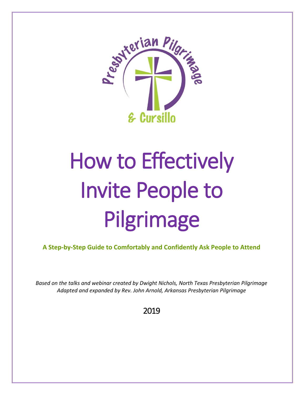

# How to Effectively Invite People to Pilgrimage

**A Step-by-Step Guide to Comfortably and Confidently Ask People to Attend**

*Based on the talks and webinar created by Dwight Nichols, North Texas Presbyterian Pilgrimage Adapted and expanded by Rev. John Arnold, Arkansas Presbyterian Pilgrimage*

2019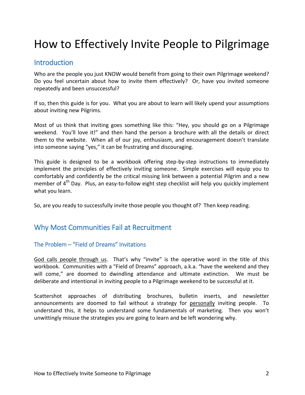# How to Effectively Invite People to Pilgrimage

## **Introduction**

Who are the people you just KNOW would benefit from going to their own Pilgrimage weekend? Do you feel uncertain about how to invite them effectively? Or, have you invited someone repeatedly and been unsuccessful?

If so, then this guide is for you. What you are about to learn will likely upend your assumptions about inviting new Pilgrims.

Most of us think that inviting goes something like this: "Hey, you should go on a Pilgrimage weekend. You'll love it!" and then hand the person a brochure with all the details or direct them to the website. When all of our joy, enthusiasm, and encouragement doesn't translate into someone saying "yes," it can be frustrating and discouraging.

This guide is designed to be a workbook offering step-by-step instructions to immediately implement the principles of effectively inviting someone. Simple exercises will equip you to comfortably and confidently be the critical missing link between a potential Pilgrim and a new member of 4<sup>th</sup> Day. Plus, an easy-to-follow eight step checklist will help you quickly implement what you learn.

So, are you ready to successfully invite those people you thought of? Then keep reading.

# Why Most Communities Fail at Recruitment

#### The Problem – "Field of Dreams" Invitations

God calls people through us. That's why "invite" is the operative word in the title of this workbook. Communities with a "Field of Dreams" approach, a.k.a. "have the weekend and they will come," are doomed to dwindling attendance and ultimate extinction. We must be deliberate and intentional in inviting people to a Pilgrimage weekend to be successful at it.

Scattershot approaches of distributing brochures, bulletin inserts, and newsletter announcements are doomed to fail without a strategy for personally inviting people. To understand this, it helps to understand some fundamentals of marketing. Then you won't unwittingly misuse the strategies you are going to learn and be left wondering why.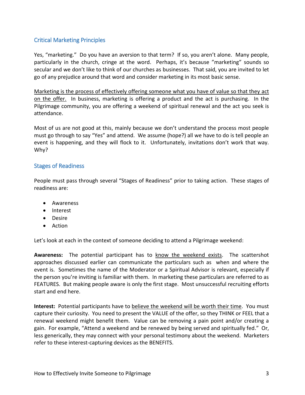#### Critical Marketing Principles

Yes, "marketing." Do you have an aversion to that term? If so, you aren't alone. Many people, particularly in the church, cringe at the word. Perhaps, it's because "marketing" sounds so secular and we don't like to think of our churches as businesses. That said, you are invited to let go of any prejudice around that word and consider marketing in its most basic sense.

Marketing is the process of effectively offering someone what you have of value so that they act on the offer. In business, marketing is offering a product and the act is purchasing. In the Pilgrimage community, you are offering a weekend of spiritual renewal and the act you seek is attendance.

Most of us are not good at this, mainly because we don't understand the process most people must go through to say "Yes" and attend. We assume (hope?) all we have to do is tell people an event is happening, and they will flock to it. Unfortunately, invitations don't work that way. Why?

#### Stages of Readiness

People must pass through several "Stages of Readiness" prior to taking action. These stages of readiness are:

- Awareness
- Interest
- Desire
- Action

Let's look at each in the context of someone deciding to attend a Pilgrimage weekend:

Awareness: The potential participant has to know the weekend exists. The scattershot approaches discussed earlier can communicate the particulars such as when and where the event is. Sometimes the name of the Moderator or a Spiritual Advisor is relevant, especially if the person you're inviting is familiar with them. In marketing these particulars are referred to as FEATURES. But making people aware is only the first stage. Most unsuccessful recruiting efforts start and end here.

**Interest:** Potential participants have to believe the weekend will be worth their time. You must capture their curiosity. You need to present the VALUE of the offer, so they THINK or FEEL that a renewal weekend might benefit them. Value can be removing a pain point and/or creating a gain. For example, "Attend a weekend and be renewed by being served and spiritually fed." Or, less generically, they may connect with your personal testimony about the weekend. Marketers refer to these interest-capturing devices as the BENEFITS.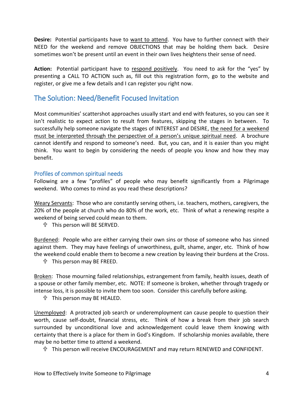**Desire:** Potential participants have to want to attend. You have to further connect with their NEED for the weekend and remove OBJECTIONS that may be holding them back. Desire sometimes won't be present until an event in their own lives heightens their sense of need.

**Action:** Potential participant have to respond positively. You need to ask for the "yes" by presenting a CALL TO ACTION such as, fill out this registration form, go to the website and register, or give me a few details and I can register you right now.

### The Solution: Need/Benefit Focused Invitation

Most communities' scattershot approaches usually start and end with features, so you can see it isn't realistic to expect action to result from features, skipping the stages in between. To successfully help someone navigate the stages of INTEREST and DESIRE, the need for a weekend must be interpreted through the perspective of a person's unique spiritual need. A brochure cannot identify and respond to someone's need. But, you can, and it is easier than you might think. You want to begin by considering the needs of people you know and how they may benefit.

#### Profiles of common spiritual needs

Following are a few "profiles" of people who may benefit significantly from a Pilgrimage weekend. Who comes to mind as you read these descriptions?

Weary Servants: Those who are constantly serving others, i.e. teachers, mothers, caregivers, the 20% of the people at church who do 80% of the work, etc. Think of what a renewing respite a weekend of being served could mean to them.

This person will BE SERVED.

Burdened: People who are either carrying their own sins or those of someone who has sinned against them. They may have feelings of unworthiness, guilt, shame, anger, etc. Think of how the weekend could enable them to become a new creation by leaving their burdens at the Cross.

This person may BE FREED.

Broken: Those mourning failed relationships, estrangement from family, health issues, death of a spouse or other family member, etc. NOTE: If someone is broken, whether through tragedy or intense loss, it is possible to invite them too soon. Consider this carefully before asking.

This person may BE HEALED.

Unemployed: A protracted job search or underemployment can cause people to question their worth, cause self-doubt, financial stress, etc. Think of how a break from their job search surrounded by unconditional love and acknowledgement could leave them knowing with certainty that there is a place for them in God's Kingdom. If scholarship monies available, there may be no better time to attend a weekend.

This person will receive ENCOURAGEMENT and may return RENEWED and CONFIDENT.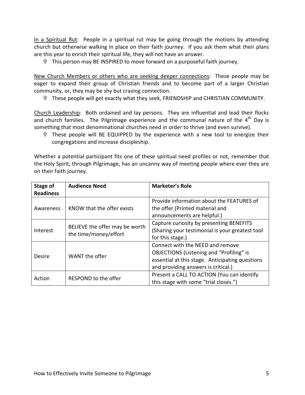In a Spiritual Rut: People in a spiritual rut may be going through the motions by attending church but otherwise walking in place on their faith journey. If you ask them what their plans are this year to enrich their spiritual life, they will not have an answer.

This person may BE INSPIRED to move forward on a purposeful faith journey.

New Church Members or others who are seeking deeper connections: These people may be eager to expand their group of Christian friends and to become part of a larger Christian community, or, they may be shy but craving connection.

These people will get exactly what they seek, FRIENDSHIP and CHRISTIAN COMMUNITY.

Church Leadership: Both ordained and lay persons. They are influential and lead their flocks and church families. The Pilgrimage experience and the communal nature of the  $4<sup>th</sup>$  Day is something that most denominational churches need in order to thrive (and even survive).

 These people will BE EQUIPPED by the experience with a new tool to energize their congregations and increase discipleship.

Whether a potential participant fits one of these spiritual need profiles or not, remember that the Holy Spirit, through Pilgrimage, has an uncanny way of meeting people where ever they are on their faith journey.

| Stage of<br><b>Readiness</b> | <b>Audience Need</b>                                    | <b>Marketer's Role</b>                                                                                                                                                        |  |
|------------------------------|---------------------------------------------------------|-------------------------------------------------------------------------------------------------------------------------------------------------------------------------------|--|
| Awareness                    | KNOW that the offer exists                              | Provide information about the FEATURES of<br>the offer (Printed material and<br>announcements are helpful.)                                                                   |  |
| Interest                     | BELIEVE the offer may be worth<br>the time/money/effort | Capture curiosity by presenting BENEFITS<br>(Sharing your testimonial is your greatest tool<br>for this stage.)                                                               |  |
| Desire                       | WANT the offer                                          | Connect with the NEED and remove<br><b>OBJECTIONS (Listening and "Profiling" is</b><br>essential at this stage. Anticipating questions<br>and providing answers is critical.) |  |
| Action                       | RESPOND to the offer                                    | Present a CALL TO ACTION (You can identify<br>this stage with some "trial closes.")                                                                                           |  |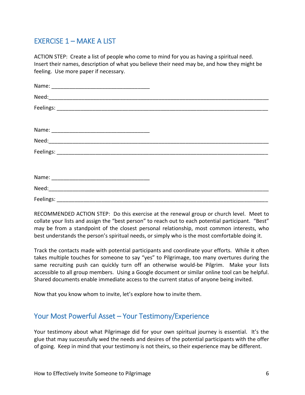# EXERCISE 1 – MAKE A LIST

ACTION STEP: Create a list of people who come to mind for you as having a spiritual need. Insert their names, description of what you believe their need may be, and how they might be feeling. Use more paper if necessary.

RECOMMENDED ACTION STEP: Do this exercise at the renewal group or church level. Meet to collate your lists and assign the "best person" to reach out to each potential participant. "Best" may be from a standpoint of the closest personal relationship, most common interests, who best understands the person's spiritual needs, or simply who is the most comfortable doing it.

Track the contacts made with potential participants and coordinate your efforts. While it often takes multiple touches for someone to say "yes" to Pilgrimage, too many overtures during the same recruiting push can quickly turn off an otherwise would-be Pilgrim. Make your lists accessible to all group members. Using a Google document or similar online tool can be helpful. Shared documents enable immediate access to the current status of anyone being invited.

Now that you know whom to invite, let's explore how to invite them.

# Your Most Powerful Asset – Your Testimony/Experience

Your testimony about what Pilgrimage did for your own spiritual journey is essential. It's the glue that may successfully wed the needs and desires of the potential participants with the offer of going. Keep in mind that your testimony is not theirs, so their experience may be different.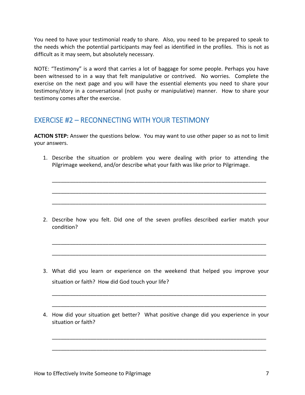You need to have your testimonial ready to share. Also, you need to be prepared to speak to the needs which the potential participants may feel as identified in the profiles. This is not as difficult as it may seem, but absolutely necessary.

NOTE: "Testimony" is a word that carries a lot of baggage for some people. Perhaps you have been witnessed to in a way that felt manipulative or contrived. No worries. Complete the exercise on the next page and you will have the essential elements you need to share your testimony/story in a conversational (not pushy or manipulative) manner. How to share your testimony comes after the exercise.

# EXERCISE #2 – RECONNECTING WITH YOUR TESTIMONY

**ACTION STEP:** Answer the questions below. You may want to use other paper so as not to limit your answers.

1. Describe the situation or problem you were dealing with prior to attending the Pilgrimage weekend, and/or describe what your faith was like prior to Pilgrimage.

\_\_\_\_\_\_\_\_\_\_\_\_\_\_\_\_\_\_\_\_\_\_\_\_\_\_\_\_\_\_\_\_\_\_\_\_\_\_\_\_\_\_\_\_\_\_\_\_\_\_\_\_\_\_\_\_\_\_\_\_\_\_\_\_\_\_\_\_\_\_\_\_

\_\_\_\_\_\_\_\_\_\_\_\_\_\_\_\_\_\_\_\_\_\_\_\_\_\_\_\_\_\_\_\_\_\_\_\_\_\_\_\_\_\_\_\_\_\_\_\_\_\_\_\_\_\_\_\_\_\_\_\_\_\_\_\_\_\_\_\_\_\_\_\_

\_\_\_\_\_\_\_\_\_\_\_\_\_\_\_\_\_\_\_\_\_\_\_\_\_\_\_\_\_\_\_\_\_\_\_\_\_\_\_\_\_\_\_\_\_\_\_\_\_\_\_\_\_\_\_\_\_\_\_\_\_\_\_\_\_\_\_\_\_\_\_\_

2. Describe how you felt. Did one of the seven profiles described earlier match your condition?

\_\_\_\_\_\_\_\_\_\_\_\_\_\_\_\_\_\_\_\_\_\_\_\_\_\_\_\_\_\_\_\_\_\_\_\_\_\_\_\_\_\_\_\_\_\_\_\_\_\_\_\_\_\_\_\_\_\_\_\_\_\_\_\_\_\_\_\_\_\_\_\_

\_\_\_\_\_\_\_\_\_\_\_\_\_\_\_\_\_\_\_\_\_\_\_\_\_\_\_\_\_\_\_\_\_\_\_\_\_\_\_\_\_\_\_\_\_\_\_\_\_\_\_\_\_\_\_\_\_\_\_\_\_\_\_\_\_\_\_\_\_\_\_\_

3. What did you learn or experience on the weekend that helped you improve your situation or faith? How did God touch your life?

\_\_\_\_\_\_\_\_\_\_\_\_\_\_\_\_\_\_\_\_\_\_\_\_\_\_\_\_\_\_\_\_\_\_\_\_\_\_\_\_\_\_\_\_\_\_\_\_\_\_\_\_\_\_\_\_\_\_\_\_\_\_\_\_\_\_\_\_\_\_\_\_

\_\_\_\_\_\_\_\_\_\_\_\_\_\_\_\_\_\_\_\_\_\_\_\_\_\_\_\_\_\_\_\_\_\_\_\_\_\_\_\_\_\_\_\_\_\_\_\_\_\_\_\_\_\_\_\_\_\_\_\_\_\_\_\_\_\_\_\_\_\_\_\_

4. How did your situation get better? What positive change did you experience in your situation or faith?

\_\_\_\_\_\_\_\_\_\_\_\_\_\_\_\_\_\_\_\_\_\_\_\_\_\_\_\_\_\_\_\_\_\_\_\_\_\_\_\_\_\_\_\_\_\_\_\_\_\_\_\_\_\_\_\_\_\_\_\_\_\_\_\_\_\_\_\_\_\_\_\_

\_\_\_\_\_\_\_\_\_\_\_\_\_\_\_\_\_\_\_\_\_\_\_\_\_\_\_\_\_\_\_\_\_\_\_\_\_\_\_\_\_\_\_\_\_\_\_\_\_\_\_\_\_\_\_\_\_\_\_\_\_\_\_\_\_\_\_\_\_\_\_\_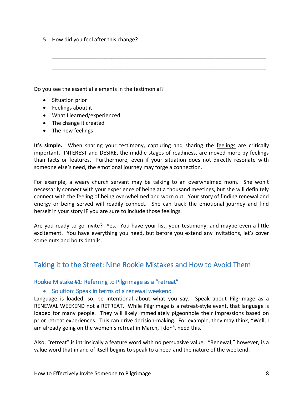5. How did you feel after this change?

Do you see the essential elements in the testimonial?

- Situation prior
- Feelings about it
- What I learned/experienced
- The change it created
- The new feelings

It's simple. When sharing your testimony, capturing and sharing the feelings are critically important. INTEREST and DESIRE, the middle stages of readiness, are moved more by feelings than facts or features. Furthermore, even if your situation does not directly resonate with someone else's need, the emotional journey may forge a connection.

\_\_\_\_\_\_\_\_\_\_\_\_\_\_\_\_\_\_\_\_\_\_\_\_\_\_\_\_\_\_\_\_\_\_\_\_\_\_\_\_\_\_\_\_\_\_\_\_\_\_\_\_\_\_\_\_\_\_\_\_\_\_\_\_\_\_\_\_\_\_\_\_

\_\_\_\_\_\_\_\_\_\_\_\_\_\_\_\_\_\_\_\_\_\_\_\_\_\_\_\_\_\_\_\_\_\_\_\_\_\_\_\_\_\_\_\_\_\_\_\_\_\_\_\_\_\_\_\_\_\_\_\_\_\_\_\_\_\_\_\_\_\_\_\_

For example, a weary church servant may be talking to an overwhelmed mom. She won't necessarily connect with your experience of being at a thousand meetings, but she will definitely connect with the feeling of being overwhelmed and worn out. Your story of finding renewal and energy or being served will readily connect. She can track the emotional journey and find herself in your story IF you are sure to include those feelings.

Are you ready to go invite? Yes. You have your list, your testimony, and maybe even a little excitement. You have everything you need, but before you extend any invitations, let's cover some nuts and bolts details.

# Taking it to the Street: Nine Rookie Mistakes and How to Avoid Them

#### Rookie Mistake #1: Referring to Pilgrimage as a "retreat"

#### • Solution: Speak in terms of a renewal weekend

Language is loaded, so, be intentional about what you say. Speak about Pilgrimage as a RENEWAL WEEKEND not a RETREAT. While Pilgrimage is a retreat-style event, that language is loaded for many people. They will likely immediately pigeonhole their impressions based on prior retreat experiences. This can drive decision-making. For example, they may think, "Well, I am already going on the women's retreat in March, I don't need this."

Also, "retreat" is intrinsically a feature word with no persuasive value. "Renewal," however, is a value word that in and of itself begins to speak to a need and the nature of the weekend.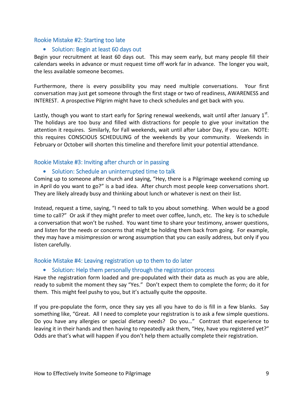#### Rookie Mistake #2: Starting too late

#### • Solution: Begin at least 60 days out

Begin your recruitment at least 60 days out. This may seem early, but many people fill their calendars weeks in advance or must request time off work far in advance. The longer you wait, the less available someone becomes.

Furthermore, there is every possibility you may need multiple conversations. Your first conversation may just get someone through the first stage or two of readiness, AWARENESS and INTEREST. A prospective Pilgrim might have to check schedules and get back with you.

Lastly, though you want to start early for Spring renewal weekends, wait until after January  $1^\text{st}$ . The holidays are too busy and filled with distractions for people to give your invitation the attention it requires. Similarly, for Fall weekends, wait until after Labor Day, if you can. NOTE: this requires CONSCIOUS SCHEDULING of the weekends by your community. Weekends in February or October will shorten this timeline and therefore limit your potential attendance.

#### Rookie Mistake #3: Inviting after church or in passing

#### • Solution: Schedule an uninterrupted time to talk

Coming up to someone after church and saying, "Hey, there is a Pilgrimage weekend coming up in April do you want to go?" is a bad idea. After church most people keep conversations short. They are likely already busy and thinking about lunch or whatever is next on their list.

Instead, request a time, saying, "I need to talk to you about something. When would be a good time to call?" Or ask if they might prefer to meet over coffee, lunch, etc. The key is to schedule a conversation that won't be rushed. You want time to share your testimony, answer questions, and listen for the needs or concerns that might be holding them back from going. For example, they may have a misimpression or wrong assumption that you can easily address, but only if you listen carefully.

#### Rookie Mistake #4: Leaving registration up to them to do later

#### • Solution: Help them personally through the registration process

Have the registration form loaded and pre-populated with their data as much as you are able, ready to submit the moment they say "Yes." Don't expect them to complete the form; do it for them. This might feel pushy to you, but it's actually quite the opposite.

If you pre-populate the form, once they say yes all you have to do is fill in a few blanks. Say something like, "Great. All I need to complete your registration is to ask a few simple questions. Do you have any allergies or special dietary needs? Do you…" Contrast that experience to leaving it in their hands and then having to repeatedly ask them, "Hey, have you registered yet?" Odds are that's what will happen if you don't help them actually complete their registration.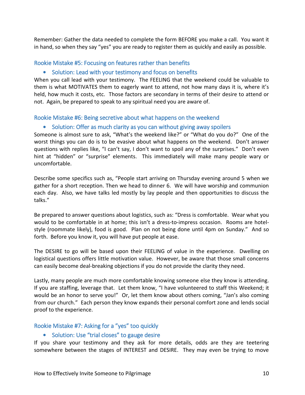Remember: Gather the data needed to complete the form BEFORE you make a call. You want it in hand, so when they say "yes" you are ready to register them as quickly and easily as possible.

#### Rookie Mistake #5: Focusing on features rather than benefits

#### • Solution: Lead with your testimony and focus on benefits

When you call lead with your testimony. The FEELING that the weekend could be valuable to them is what MOTIVATES them to eagerly want to attend, not how many days it is, where it's held, how much it costs, etc. Those factors are secondary in terms of their desire to attend or not. Again, be prepared to speak to any spiritual need you are aware of.

#### Rookie Mistake #6: Being secretive about what happens on the weekend

#### • Solution: Offer as much clarity as you can without giving away spoilers

Someone is almost sure to ask, "What's the weekend like?" or "What do you do?" One of the worst things you can do is to be evasive about what happens on the weekend. Don't answer questions with replies like, "I can't say, I don't want to spoil any of the surprises." Don't even hint at "hidden" or "surprise" elements. This immediately will make many people wary or uncomfortable.

Describe some specifics such as, "People start arriving on Thursday evening around 5 when we gather for a short reception. Then we head to dinner 6. We will have worship and communion each day. Also, we have talks led mostly by lay people and then opportunities to discuss the talks."

Be prepared to answer questions about logistics, such as: "Dress is comfortable. Wear what you would to be comfortable in at home; this isn't a dress-to-impress occasion. Rooms are hotelstyle (roommate likely), food is good. Plan on not being done until 4pm on Sunday." And so forth. Before you know it, you will have put people at ease.

The DESIRE to go will be based upon their FEELING of value in the experience. Dwelling on logistical questions offers little motivation value. However, be aware that those small concerns can easily become deal-breaking objections if you do not provide the clarity they need.

Lastly, many people are much more comfortable knowing someone else they know is attending. If you are staffing, leverage that. Let them know, "I have volunteered to staff this Weekend; it would be an honor to serve you!" Or, let them know about others coming, "Jan's also coming from our church." Each person they know expands their personal comfort zone and lends social proof to the experience.

#### Rookie Mistake #7: Asking for a "yes" too quickly

#### • Solution: Use "trial closes" to gauge desire

If you share your testimony and they ask for more details, odds are they are teetering somewhere between the stages of INTEREST and DESIRE. They may even be trying to move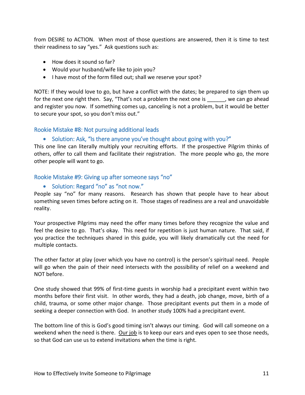from DESIRE to ACTION. When most of those questions are answered, then it is time to test their readiness to say "yes." Ask questions such as:

- How does it sound so far?
- Would your husband/wife like to join you?
- I have most of the form filled out; shall we reserve your spot?

NOTE: If they would love to go, but have a conflict with the dates; be prepared to sign them up for the next one right then. Say, "That's not a problem the next one is each go ahead and register you now. If something comes up, canceling is not a problem, but it would be better to secure your spot, so you don't miss out."

#### Rookie Mistake #8: Not pursuing additional leads

#### • Solution: Ask, "Is there anyone you've thought about going with you?"

This one line can literally multiply your recruiting efforts. If the prospective Pilgrim thinks of others, offer to call them and facilitate their registration. The more people who go, the more other people will want to go.

#### Rookie Mistake #9: Giving up after someone says "no"

#### • Solution: Regard "no" as "not now."

People say "no" for many reasons. Research has shown that people have to hear about something seven times before acting on it. Those stages of readiness are a real and unavoidable reality.

Your prospective Pilgrims may need the offer many times before they recognize the value and feel the desire to go. That's okay. This need for repetition is just human nature. That said, if you practice the techniques shared in this guide, you will likely dramatically cut the need for multiple contacts.

The other factor at play (over which you have no control) is the person's spiritual need. People will go when the pain of their need intersects with the possibility of relief on a weekend and NOT before.

One study showed that 99% of first-time guests in worship had a precipitant event within two months before their first visit. In other words, they had a death, job change, move, birth of a child, trauma, or some other major change. Those precipitant events put them in a mode of seeking a deeper connection with God. In another study 100% had a precipitant event.

The bottom line of this is God's good timing isn't always our timing. God will call someone on a weekend when the need is there. Our job is to keep our ears and eyes open to see those needs, so that God can use us to extend invitations when the time is right.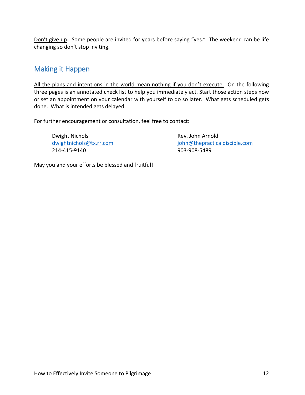Don't give up. Some people are invited for years before saying "yes." The weekend can be life changing so don't stop inviting.

# Making it Happen

All the plans and intentions in the world mean nothing if you don't execute. On the following three pages is an annotated check list to help you immediately act. Start those action steps now or set an appointment on your calendar with yourself to do so later. What gets scheduled gets done. What is intended gets delayed.

For further encouragement or consultation, feel free to contact:

Dwight Nichols **Rev. John Arnold** 214-415-9140 903-908-5489

dwightnichols@tx.rr.com in the interesting policies of interesting in the interesting of the interesting of the i

May you and your efforts be blessed and fruitful!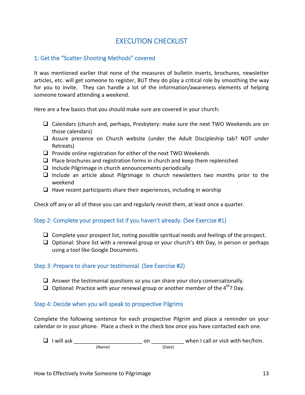# EXECUTION CHECKLIST

#### 1: Get the "Scatter-Shooting Methods" covered

It was mentioned earlier that none of the measures of bulletin inserts, brochures, newsletter articles, etc. will get someone to register, BUT they do play a critical role by smoothing the way for you to invite. They can handle a lot of the information/awareness elements of helping someone toward attending a weekend.

Here are a few basics that you should make sure are covered in your church:

- $\Box$  Calendars (church and, perhaps, Presbytery: make sure the next TWO Weekends are on those calendars)
- $\Box$  Assure presence on Church website (under the Adult Discipleship tab? NOT under Retreats)
- $\square$  Provide online registration for either of the next TWO Weekends
- $\Box$  Place brochures and registration forms in church and keep them replenished
- $\Box$  Include Pilgrimage in church announcements periodically
- $\Box$  Include an article about Pilgrimage in church newsletters two months prior to the weekend
- $\Box$  Have recent participants share their experiences, including in worship

Check off any or all of these you can and regularly revisit them, at least once a quarter.

#### Step 2: Complete your prospect list if you haven't already. (See Exercise #1)

- $\Box$  Complete your prospect list, noting possible spiritual needs and feelings of the prospect.
- $\Box$  Optional: Share list with a renewal group or your church's 4th Day, in person or perhaps using a tool like Google Documents.

#### Step 3: Prepare to share your testimonial. (See Exercise #2)

- $\Box$  Answer the testimonial questions so you can share your story conversationally.
- $\Box$  Optional: Practice with your renewal group or another member of the 4<sup>th</sup>? Day.

#### Step 4: Decide when you will speak to prospective Pilgrims

Complete the following sentence for each prospective Pilgrim and place a reminder on your calendar or in your phone. Place a check in the check box once you have contacted each one.

 I will ask \_\_\_\_\_\_\_\_\_\_\_\_\_\_\_\_\_\_\_\_\_\_\_ on \_\_\_\_\_\_\_\_\_\_\_ when I call or visit with her/him. (Name) (Date)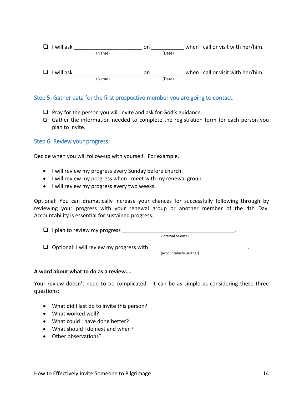

#### Step 5: Gather data for the first prospective member you are going to contact.

- $\Box$  Pray for the person you will invite and ask for God's guidance.
- Gather the information needed to complete the registration form for each person you plan to invite.

Step 6: Review your progress.

Decide when you will follow-up with yourself. For example,

- I will review my progress every Sunday before church.
- I will review my progress when I meet with my renewal group.
- $\bullet$  I will review my progress every two weeks.

Optional: You can dramatically increase your chances for successfully following through by reviewing your progress with your renewal group or another member of the 4th Day. Accountability is essential for sustained progress.

| $\Box$ I plan to review my progress |                    |  |
|-------------------------------------|--------------------|--|
|                                     | (interval or date) |  |

 $\Box$  Optional: I will review my progress with  $\Box$ 

(accountability partner)

#### **A word about what to do as a review….**

Your review doesn't need to be complicated. It can be as simple as considering these three questions:

- What did I last do to invite this person?
- What worked well?
- What could I have done better?
- What should I do next and when?
- Other observations?